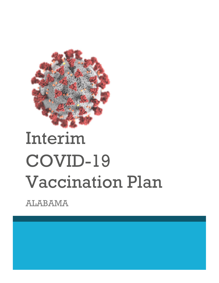

# Interim COVID-19 Vaccination Plan

ALABAMA

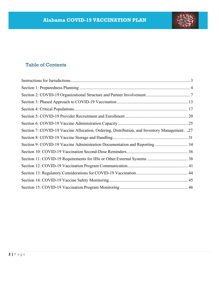

# Table of Contents

| Section 7: COVID-19 Vaccine Allocation, Ordering, Distribution, and Inventory Management27 |  |
|--------------------------------------------------------------------------------------------|--|
|                                                                                            |  |
| Section 9: COVID-19 Vaccine Administration Documentation and Reporting 34                  |  |
|                                                                                            |  |
|                                                                                            |  |
|                                                                                            |  |
|                                                                                            |  |
|                                                                                            |  |
|                                                                                            |  |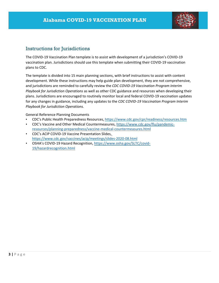

# Instructions for Jurisdictions

The COVID‐19 Vaccination Plan template is to assist with development of a jurisdiction's COVID‐19 vaccination plan. Jurisdictions should use this template when submitting their COVID‐19 vaccination plans to CDC.

The template is divided into 15 main planning sections, with brief instructions to assist with content development. While these instructions may help guide plan development, they are not comprehensive, and jurisdictions are reminded to carefully review the *CDC COVID‐19 Vaccination Program Interim Playbook for Jurisdiction Operations* as well as other CDC guidance and resources when developing their plans. Jurisdictions are encouraged to routinely monitor local and federal COVID‐19 vaccination updates for any changes in guidance, including any updates to the *CDC COVID‐19 Vaccination Program Interim Playbook for Jurisdiction Operations.*

General Reference Planning Documents

- CDC's Public Health Preparedness Resources, https://www.cdc.gov/cpr/readiness/resources.htm
- CDC's Vaccine and Other Medical Countermeasures, https://www.cdc.gov/flu/pandemic‐ resources/planning‐preparedness/vaccine‐medical‐countermeasures.html
- CDC's ACIP COVID‐19 Vaccine Presentation Slides, https://www.cdc.gov/vaccines/acip/meetings/slides‐2020‐08.html
- OSHA's COVID-19 Hazard Recognition, https://www.osha.gov/SLTC/covid-19/hazardrecognition.html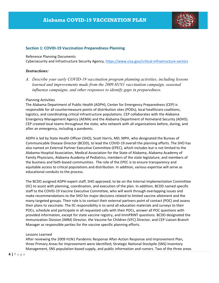

#### **Section 1: COVID‐19 Vaccination Preparedness Planning**

#### Reference Planning Documents

Cybersecurity and Infrastructure Security Agency, https://www.cisa.gov/critical‐infrastructure‐sectors

#### *Instructions:*

*A. Describe your early COVID-19 vaccination program planning activities, including lessons learned and improvements made from the 2009 H1N1 vaccination campaign, seasonal influenza campaigns, and other responses to identify gaps in preparedness.* 

#### Planning Activities

The Alabama Department of Public Health (ADPH), Center for Emergency Preparedness (CEP) is responsible for all countermeasure points of distribution sites (PODs), local healthcare coalitions, logistics, and coordinating critical infrastructure populations. CEP collaborates with the Alabama Emergency Management Agency (AEMA) and the Alabama Department of Homeland Security (ADHS). CEP created local teams throughout the state, who network with all organizations before, during, and after an emergency, including a pandemic.

ADPH is led by State Health Officer (SHO), Scott Harris, MD, MPH, who designated the Bureau of Communicable Disease Director (BCDD), to lead the COVID‐19 overall the planning efforts. The SHO has also named an External Partner Executive Committee (EPEC), which includes but is not limited to the Alabama Hospital Association, Medical Association for the State of Alabama, Alabama Academy of Family Physicians, Alabama Academy of Pediatrics, members of the state legislature, and members of the business and faith‐based communities. The role of the EPEC is to ensure transparency and equitable access to critical populations and distribution. In addition, various expertise will serve as educational conduits to the process.

The BCDD assigned ADPH expert staff, SHO approved, to be on the Internal Implementation Committee (IIC) to assist with planning, coordination, and execution of the plan. In addition, BCDD named specific staff to the COVID‐19 Vaccine Executive Committee, who will work through overlapping issues and make recommendations to the SHO for major decisions related to limited vaccine allotment and the many targeted groups. Their role is to contact their external partners point of contact (POC) and assess their plans to vaccinate. The IIC responsibility is to send all education materials and surveys to their POCs, schedule and participate in all requested calls with their POCs, answer all POC questions with provided information, except for state vaccine registry, and ImmPRINT questions. BCDD designated the Immunization Division (IMM) Director, the Vaccine for Children (VFC) Director, and CEP Liaison Branch Manager as responsible parties for the vaccine specific planning efforts.

#### Lessons Learned

After reviewing the 2009 H1N1 Pandemic Response After‐Action Response and Improvement Plan, three Primary Areas for Improvement were identified; Strategic National Stockpile (SNS) Inventory Management, SNS population-based supply, and public information and rumors. Two of the three areas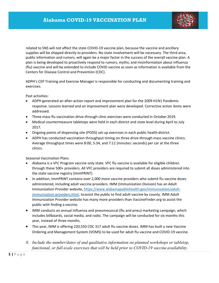

related to SNS will not affect the state COVID‐19 vaccine plan, because the vaccine and ancillary supplies will be shipped directly to providers. No state involvement will be necessary. The third area, public information and rumors, will again be a major factor in the success of the overall vaccine plan. A plan is being developed to proactively respond to rumors, myths, and misinformation about influenza (flu) vaccine and will be extended to include COVID vaccine as soon as information is available from the Centers for Disease Control and Prevention (CDC).

ADPH's CEP Training and Exercise Manager is responsible for conducting and documenting training and exercises.

Past activities:

- ADPH generated an after‐action report and improvement plan for the 2009 H1N1 Pandemic response. Lessons learned and an improvement plan were developed. Corrective action items were addressed.
- Three mass flu vaccination drive-through clinic exercises were conducted in October 2019.
- Medical countermeasure tabletops were held in each district and state level during April to July 2017.
- Ongoing points of dispensing site (PODS) set-up exercises in each public health district.
- ADPH has conducted vaccination throughput timing on three drive-through mass vaccine clinics. Average throughput times were 8:00, 5:34, and 7:11 (minutes: seconds) per car at the three clinics.

Seasonal Vaccination Plans

- Alabama is a VFC Program vaccine only state. VFC flu vaccine is available for eligible children through these 500+ providers. All VFC providers are required to submit all doses administered into the state vaccine registry (ImmPRINT).
- In addition, ImmPRINT contains over 2,000 more vaccine providers who submit flu vaccine doses administered, including adult vaccine providers. IMM (Immunization Division) has an Adult Immunization Provider website, https://www.alabamapublichealth.gov/immunization/adult‐ immunization-providers.html, to assist the public to find adult vaccine by county. IMM Adult Immunization Provider website has many more providers than VaccineFinder.org to assist the public with finding a vaccine.
- IMM conducts an annual influenza and pneumococcal (flu and pneu) marketing campaign, which includes billboards, social media, and radio. The campaign will be conducted for six months this year, instead of three months.
- This year, IMM is offering 220,550 CDC 317 adult flu vaccine doses. IMM has built a new Vaccine Ordering and Management System (VOMS) to be used for adult flu vaccine and COVID‐19 vaccine.
- *B. Include the number/dates of and qualitative information on planned workshops or tabletop, functional, or full-scale exercises that will be held prior to COVID-19 vaccine availability.*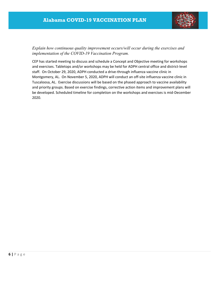

*Explain how continuous quality improvement occurs/will occur during the exercises and implementation of the COVID-19 Vaccination Program.* 

CEP has started meeting to discuss and schedule a Concept and Objective meeting for workshops and exercises. Tabletops and/or workshops may be held for ADPH central office and district-level staff. On October 29, 2020, ADPH conducted a drive‐through influenza vaccine clinic in Montgomery, AL. On November 5, 2020, ADPH will conduct an off‐site influenza vaccine clinic in Tuscaloosa, AL. Exercise discussions will be based on the phased approach to vaccine availability and priority groups. Based on exercise findings, corrective action items and improvement plans will be developed. Scheduled timeline for completion on the workshops and exercises is mid‐December 2020.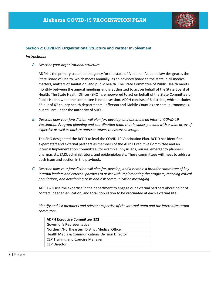

#### **Section 2: COVID‐19 Organizational Structure and Partner Involvement**

#### *Instructions:*

*A. Describe your organizational structure.*

ADPH is the primary state health agency for the state of Alabama. Alabama law designates the State Board of Health, which meets annually, as an advisory board to the state in all medical matters, matters of sanitation, and public health. The State Committee of Public Health meets monthly between the annual meetings and is authorized to act on behalf of the State Board of Health. The State Health Officer (SHO) is empowered to act on behalf of the State Committee of Public Health when the committee is not in session. ADPH consists of 6 districts, which includes 65 out of 67 county health departments. Jefferson and Mobile Counties are semi‐autonomous, but still are under the authority of SHO.

*B. Describe how your jurisdiction will plan for, develop, and assemble an internal COVID‐19 Vaccination Program planning and coordination team that includes persons with a wide array of expertise as well as backup representatives to ensure coverage.*

The SHO designated the BCDD to lead the COVID‐19 Vaccination Plan. BCDD has identified expert staff and external partners as members of the ADPH Executive Committee and an Internal Implementation Committee, for example: physicians, nurses, emergency planners, pharmacists, EMS, administrators, and epidemiologists. These committees will meet to address each issue and section in the playbook.

*C. Describe how your jurisdiction will plan for, develop, and assemble a broader committee of key internal leaders and external partners to assist with implementing the program, reaching critical populations, and developing crisis and risk communication messaging.*

ADPH will use the expertise in the department to engage our external partners about point of contact, needed education, and total population to be vaccinated at each external site.

*Identify and list members and relevant expertise of the internal team and the internal/external committee.*

| <b>ADPH Executive Committee (EC)</b>                       |
|------------------------------------------------------------|
| Governor's Representative                                  |
| Northern/Northeastern District Medical Officer             |
| <b>Health Media &amp; Communications Division Director</b> |
| <b>CEP Training and Exercise Manager</b>                   |
| <b>CEP Director</b>                                        |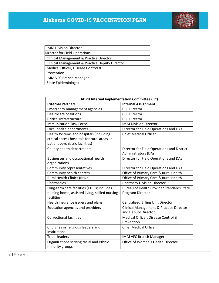

| <b>IMM Division Director</b>                   |
|------------------------------------------------|
| Director for Field Operations                  |
| Clinical Management & Practice Director        |
| Clinical Management & Practice Deputy Director |
| Medical Officer, Disease Control &             |
| Prevention                                     |
| <b>IMM VFC Branch Manager</b>                  |
| State Epidemiologist                           |
|                                                |

| <b>ADPH Internal Implementation Committee (IIC)</b> |                                                                |  |
|-----------------------------------------------------|----------------------------------------------------------------|--|
| <b>External Partners</b>                            | <b>Internal Assignment</b>                                     |  |
| <b>Emergency management agencies</b>                | <b>CEP Director</b>                                            |  |
| <b>Healthcare coalitions</b>                        | <b>CEP Director</b>                                            |  |
| Critical Infrastructure                             | <b>CEP Director</b>                                            |  |
| <b>Immunization Task Force</b>                      | <b>IMM Division Director</b>                                   |  |
| Local health departments                            | Director for Field Operations and DAs                          |  |
| Health systems and hospitals (including             | <b>Chief Medical Officer</b>                                   |  |
| critical access hospitals for rural areas, in-      |                                                                |  |
| patient psychiatric facilities)                     |                                                                |  |
| County health departments'                          | Director for Field Operations and District                     |  |
|                                                     | Administrators (DAs)                                           |  |
| Businesses and occupational health                  | Director for Field Operations and DAs                          |  |
| organizations                                       |                                                                |  |
| Community representatives                           | Director for Field Operations and DAs                          |  |
| Community health centers                            | Office of Primary Care & Rural Health                          |  |
| <b>Rural Health Clinics (RHCs)</b>                  | Office of Primary Care & Rural Health                          |  |
| Pharmacies                                          | <b>Pharmacy Division Director</b>                              |  |
| Long-term care facilities (LTCFs; includes          | <b>Bureau of Health Provider Standards State</b>               |  |
| nursing home, assisted living, skilled nursing      | Program Director                                               |  |
| facilities)                                         |                                                                |  |
| Health insurance issuers and plans                  | Centralized Billing Unit Director                              |  |
| <b>Education agencies and providers</b>             | Clinical Management & Practice Director<br>and Deputy Director |  |
| <b>Correctional facilities</b>                      | Medical Officer, Disease Control &<br>Prevention               |  |
| Churches or religious leaders and                   | <b>Chief Medical Officer</b>                                   |  |
| institutions                                        |                                                                |  |
| <b>Tribal leaders</b>                               | IMM VFC Branch Manager                                         |  |
| Organizations serving racial and ethnic             | Office of Women's Health Director                              |  |
| minority groups                                     |                                                                |  |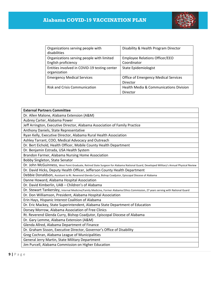

| Organizations serving people with<br>disabilities                | Disability & Health Program Director                 |
|------------------------------------------------------------------|------------------------------------------------------|
| Organizations serving people with limited<br>English proficiency | <b>Employee Relations Officer/EEO</b><br>Coordinator |
| Entities involved in COVID-19 testing center<br>organization     | <b>State Epidemiologist</b>                          |
| <b>Emergency Medical Services</b>                                | <b>Office of Emergency Medical Services</b>          |
|                                                                  | Director                                             |
| <b>Risk and Crisis Communication</b>                             | <b>Health Media &amp; Communications Division</b>    |
|                                                                  | Director                                             |

| <b>External Partners Committee</b>                                                                                                      |
|-----------------------------------------------------------------------------------------------------------------------------------------|
| Dr. Allen Malone, Alabama Extension (A&M)                                                                                               |
| Aubrey Carter, Alabama Power                                                                                                            |
| Jeff Arrington, Executive Director, Alabama Association of Family Practice                                                              |
| Anthony Daniels, State Representative                                                                                                   |
| Ryan Kelly, Executive Director, Alabama Rural Health Association                                                                        |
| Ashley Tarrant, COO, Medical Advocacy and Outreach                                                                                      |
| Dr. Bert Eichold, Health Officer, Mobile County Health Department                                                                       |
| Dr. Benjamin Estrada, USA Health System                                                                                                 |
| Brandon Farmer, Alabama Nursing Home Association                                                                                        |
| Bobby Singleton, State Senator                                                                                                          |
| Dr. John McGuinness, West Point Graduate, Retired State Surgeon for Alabama National Guard, Developed Military's Annual Physical Review |
| Dr. David Hicks, Deputy Health Officer, Jefferson County Health Department                                                              |
| Debbie Donaldson, Assistant to Rt. Reverend Glenda Curry, Bishop Coadjutor, Episcopal Diocese of Alabama                                |
| Danne Howard, Alabama Hospital Association                                                                                              |
| Dr. David Kimberlin, UAB - Children's of Alabama                                                                                        |
| Dr. Stewart Tankersley, Internal Medicine/Family Medicine, Former Alabama Ethics Commission, 27 years serving with National Guard       |
| Dr. Don Williamson, President, Alabama Hospital Association                                                                             |
| Erin Hays, Hispanic Interest Coalition of Alabama                                                                                       |
| Dr. Eric Mackey, State Superintendent, Alabama State Department of Education                                                            |
| Dorsey Morrow, Alabama Association of Free Clinics                                                                                      |
| Rt. Reverend Glenda Curry, Bishop Coadjutor, Episcopal Diocese of Alabama                                                               |
| Dr. Gary Lemme, Alabama Extension (A&M)                                                                                                 |
| Glenda Allred, Alabama Department of Finance                                                                                            |
| Dr. Graham Sisson, Executive Director, Governor's Office of Disability                                                                  |
| Greg Cochran, Alabama League of Municipalities                                                                                          |
| General Jerry Martin, State Military Department                                                                                         |
| Jim Purcell, Alabama Commission on Higher Education                                                                                     |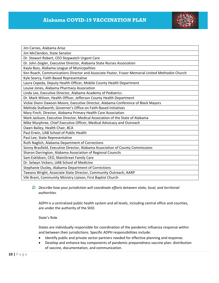

| Jim Carnes, Alabama Arise                                                                        |
|--------------------------------------------------------------------------------------------------|
| Jim McClendon, State Senator                                                                     |
| Dr. Stewart Robert, CEO Stopwatch Urgent Care                                                    |
| Dr. John Zeigler, Executive Director, Alabama State Nurses Association                           |
| Kayla Bass, Alabama League of Municipalities                                                     |
| Ken Roach, Communications Director and Associate Pastor, Frazer Memorial United Methodist Church |
| Kyle Searcy, Faith-Based Representative                                                          |
| Laura Cepeda, Deputy Health Officer, Mobile County Health Department                             |
| Louise Jones, Alabama Pharmacy Association                                                       |
| Linda Lee, Executive Director, Alabama Academy of Pediatrics                                     |
| Dr. Mark Wilson, Health Officer, Jefferson County Health Department                              |
| Vickie Diann Dawson Moore, Executive Director, Alabama Conference of Black Mayors                |
| Melinda Stallworth, Governor's Office on Faith-Based Initiatives                                 |
| Mary Finch, Director, Alabama Primary Health Care Association                                    |
| Mark Jackson, Executive Director, Medical Association of the State of Alabama                    |
| Mike Murphree, Chief Executive Officer, Medical Advocacy and Outreach                            |
| Owen Bailey, Health Chair, BCA                                                                   |
| Paul Erwin, UAB School of Public Health                                                          |
| Paul Lee, State Representative                                                                   |
| Ruth Naglich, Alabama Department of Corrections                                                  |
| Sonny Brasfield, Executive Director, Alabama Association of County Commissions                   |
| Sharon Darrington, Alabama Association of Regional Councils                                      |
| Sam Eskildsen, CEO, MainStreet Family Care                                                       |
| Dr. Selwyn Vickers, UAB School of Medicine                                                       |
| Stephanie Ousley, Alabama Department of Corrections                                              |
| Tawana Wright, Associate State Director, Community Outreach, AARP                                |
| Viki Brant, Community Ministry Liaison, First Baptist Church                                     |

#### *D. Describe how your jurisdiction will coordinate efforts between state, local, and territorial authorities.*

ADPH is a centralized public health system and all levels, including central office and counties, are under the authority of the SHO.

State's Role

States are individually responsible for coordination of the pandemic influenza response within and between their jurisdictions. Specific ADPH responsibilities include:

- Identify public and private sector partners needed for effective planning and response.
- Develop and enhance key components of pandemic preparedness vaccine plan: distribution of vaccine, documentation, and communication.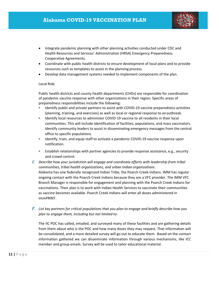

- Integrate pandemic planning with other planning activities conducted under CDC and Health Resources and Services' Administration (HRSA) Emergency Preparedness Cooperative Agreements.
- Coordinate with public health districts to ensure development of local plans and to provide resources such as templates to assist in the planning process.
- Develop data management systems needed to implement components of the plan.

#### Local Role

ImmPRINT.

Public health districts and county health departments (CHDs) are responsible for coordination of pandemic vaccine response with other organizations in their region. Specific areas of preparedness responsibilities include the following:

- Identify public and private partners to assist with COVID-19 vaccine preparedness activities (planning, training, and exercises) as well as local or regional response to anoutbreak.
- Identify local resources to administer COVID-19 vaccine to all residents in their local communities. This will include identification of facilities, populations, and mass vaccinators. Identify community leaders to assist in disseminating emergency messages from the central office to specific populations.
- Identify, train, and equip staff to activate a pandemic COVID-19 vaccine response upon notification.
- Establish relationships with partner agencies to provide response assistance, e.g., security and crowd control.
- *E. Describe how your jurisdiction will engage and coordinate efforts with leadership from tribal communities, tribal health organizations, and urban Indian organizations.* Alabama has one federally recognized Indian Tribe, the Poarch Creek Indians. IMM has regular ongoing contact with the Poarch Creek Indians because they are a VFC provider. The IMM VFC Branch Manager is responsible for engagement and planning with the Poarch Creek Indians for vaccinations. Their plan is to work with Indian Health Services to vaccinate their communities as vaccine becomes available. Poarch Creek Indians will enter all doses administered in
- *F. List key partners for critical populations that you plan to engage and briefly describe how you plan to engage them, including but not limited to:*

The IIC POC has called, emailed, and surveyed many of these facilities and are gathering details from them about who is the POC and how many doses they may request. That information will be consolidated, and a more detailed survey will go out to educate them. Based on the contact information gathered we can disseminate information through various mechanisms, like ICC member and group emails. Survey will be used to tailor educational material.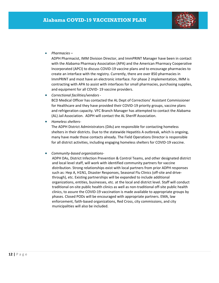

*Pharmacies –*

ADPH Pharmacist, IMM Division Director, and ImmPRINT Manager have been in contact with the Alabama Pharmacy Association (APA) and the American Pharmacy Cooperative Incorporated (APCI) to discuss COVID‐19 vaccine plans and to encourage pharmacies to create an interface with the registry. Currently, there are over 850 pharmacies in ImmPRINT and most have an electronic interface. For phase 2 implementation, IMM is contracting with APA to assist with interfaces for small pharmacies, purchasing supplies, and equipment for all COVID‐ 19 vaccine providers.

*Correctional facilities/vendors ‐*

BCD Medical Officer has contacted the AL Dept of Corrections' Assistant Commissioner for Healthcare and they have provided their COVID‐19 priority groups, vaccine plans and refrigeration capacity. VFC Branch Manager has attempted to contact the Alabama (AL) Jail Association. ADPH will contact the AL Sheriff Association.

*Homeless shelters‐*

The ADPH District Administrators (DAs) are responsible for contacting homeless shelters in their districts. Due to the statewide Hepatitis A outbreak, which is ongoing, many have made those contacts already. The Field Operations Director is responsible for all district activities, including engaging homeless shelters for COVID‐19 vaccine.

#### *Community‐based organizations‐*

ADPH DAs, District Infection Prevention & Control Teams, and other designated district and local level staff, will work with identified community partners for vaccine distribution. Strong relationships exist with local partners from prior ADPH responses such as: Hep A, H1N1, Disaster Responses, Seasonal Flu Clinics (off-site and drivethrough), etc. Existing partnerships will be expanded to include additional organizations, entities, businesses, etc. at the local and district level. Staff will conduct traditional on‐site public health clinics as well as non‐traditional off‐site public health clinics, to assure the COVID‐19 vaccination is made available to appropriate groups by phases. Closed PODs will be encouraged with appropriate partners. EMA, law enforcement, faith‐based organizations, Red Cross, city commissions, and city municipalities will also be included.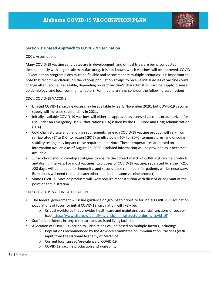

#### **Section 3: Phased Approach to COVID‐19 Vaccination**

#### CDC's Assumptions

Many COVID‐19 vaccine candidates are in development, and clinical trials are being conducted simultaneously with large-scale manufacturing. It is not known which vaccines will be approved. COVID-19 vaccination program plans must be flexible and accommodate multiple scenarios. It is important to note that recommendations on the various population groups to receive initial doses of vaccine could change after vaccine is available, depending on each vaccine's characteristics, vaccine supply, disease epidemiology, and local community factors. For initial planning, consider the following assumptions.

#### CDC's COVID‐19 VACCINE

- Limited COVID-19 vaccine doses may be available by early November 2020, but COVID-19 vaccine supply will increase substantially in 2021.
- Initially available COVID‐19 vaccines will either be approved as licensed vaccines or authorized for use under an Emergency Use Authorization (EUA) issued by the U.S. Food and Drug Administration (FDA).
- Cold chain storage and handling requirements for each COVID-19 vaccine product will vary from refrigerated (2<sup>o</sup> to 8°C) to frozen (-20°C) to ultra-cold (-60º to -80ºC) temperatures, and ongoing stability testing may impact these requirements. Note: These temperatures are based on information available as of August 26, 2020. Updated information will be provided as it becomes available.
- Jurisdictions should develop strategies to ensure the correct match of COVID‐19 vaccine products and dosing intervals. For most vaccines, two doses of COVID-19 vaccine, separated by either >21 or >28 days, will be needed for immunity, and second‐dose reminders for patients will be necessary. Both doses will need to match each other (i.e., be the same vaccine product).
- Some COVID‐19 vaccine products will likely require reconstitution with diluent or adjuvant at the point of administration.

#### CDC's COVID‐19 VACCINE ALLOCATION

- The federal government will issue guidance on groups to prioritize for initial COVID-19 vaccination; populations of focus for initial COVID‐19 vaccination will likely be:
	- o Critical workforce that provides health care and maintains essential functions of society (see https://www.cisa.gov/identifying‐critical‐infrastructure‐during‐covid‐19)
- Staff and residents in long‐term care and assisted living facilities
- Allocation of COVID‐19 vaccine to jurisdictions will be based on multiple factors, including:
	- $\circ$  Populations recommended by the Advisory Committee on Immunization Practices (with input from the National Academy of Medicine)
	- o Current local spread/prevalence of COVID‐19
	- o COVID‐19 vaccine production and availability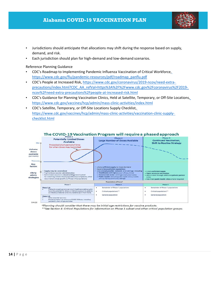# **Alabama COVID-19 VACCINATION PLAN**



- Jurisdictions should anticipate that allocations may shift during the response based on supply, demand, and risk.
- Each jurisdiction should plan for high‐demand and low‐demand scenarios.

Reference Planning Guidance

- CDC's Roadmap to Implementing Pandemic Influenza Vaccination of Critical Workforce, https://www.cdc.gov/flu/pandemic‐resources/pdf/roadmap\_panflu.pdf
- CDC's People at Increased Risk, https://www.cdc.gov/coronavirus/2019‐ncov/need‐extra‐ precautions/index.html?CDC\_AA\_refVal=https%3A%2F%2Fwww.cdc.gov%2Fcoronavirus%2F2019ncov%2Fneed‐extra‐precautions%2Fpeople‐at‐increased‐risk.html
- CDC's Guidance for Planning Vaccination Clinics, Held at Satellite, Temporary, or Off‐Site Locations, https://www.cdc.gov/vaccines/hcp/admin/mass‐clinic‐activities/index.html
- CDC's Satellite, Temporary, or Off‐Site Locations Supply Checklist, https://www.cdc.gov/vaccines/hcp/admin/mass‐clinic‐activities/vaccination‐clinic‐supply‐ checklist.html



\*Planning should consider that there may be initial age restrictions for vaccine products.

\*\*See Section 4: Critical Populations for information on Phase 1 subset and other critical population groups.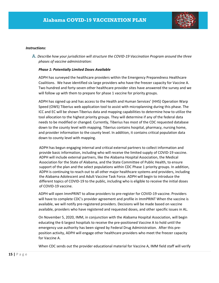

#### *Instructions:*

A. *Describe how your jurisdiction will structure the COVID‐19 Vaccination Program around the three phases of vaccine administration:*

#### *Phase 1: Potentially Limited Doses Available*

ADPH has surveyed the healthcare providers within the Emergency Preparedness Healthcare Coalitions. We have identified six large providers who have the freezer capacity for Vaccine A. Two hundred and forty‐seven other healthcare provider sites have answered the survey and we will follow up with them to prepare for phase 1 vaccine for priority groups.

ADPH has signed up and has access to the Health and Human Services' (HHS) Operation Warp Speed (OWS) Tiberius web application tool to assist with microplanning during this phase. The ICC and EC will be shown Tiberius data and mapping capabilities to determine how to utilize the tool allocation to the highest priority groups. They will determine if any of the federal data needs to be modified or changed. Currently, Tiberius has most of the CDC requested database down to the county level with mapping. Tiberius contains hospital, pharmacy, nursing home, and provider information to the county level. In addition, it contains critical population data down to county level with mapping.

ADPH has begun engaging internal and critical external partners to collect information and provide basic information, including who will receive the limited supply of COVID‐19 vaccine. ADPH will include external partners, like the Alabama Hospital Association, the Medical Association for the State of Alabama, and the State Committee of Public Health, to ensure support of the plan and the select populations within CDC Phase 1 priority groups. In addition, ADPH is continuing to reach out to all other major healthcare systems and providers, including the Alabama Adolescent and Adult Vaccine Task Force. ADPH will begin to introduce the different topics of COVID‐19 to the public, including who is eligible to receive the initial doses of COVID‐19 vaccine.

ADPH will open ImmPRINT to allow providers to pre‐register for COVID‐19 vaccine. Providers will have to complete CDC's provider agreement and profile in ImmPRINT When the vaccine is available, we will notify pre‐registered providers. Decisions will be made based on vaccine available, providers who have registered and requested doses, and other specific issues in AL.

On November 5, 2020, IMM, in conjunction with the Alabama Hospital Association, will begin educating the 6 largest hospitals to receive the pre‐positioned Vaccine A to hold until the emergency use authority has been signed by Federal Drug Administration. After this pre‐ position activity, ADPH will engage other healthcare providers who meet the freezer capacity for Vaccine A.

When CDC sends out the provider educational material for Vaccine A, IMM field staff will verify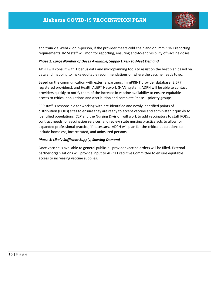

and train via WebEx, or in‐person, if the provider meets cold chain and on ImmPRINT reporting requirements. IMM staff will monitor reporting, ensuring end-to-end visibility of vaccine doses.

#### *Phase 2: Large Number of Doses Available, Supply Likely to Meet Demand*

ADPH will consult with Tiberius data and microplanning tools to assist on the best plan based on data and mapping to make equitable recommendations on where the vaccine needs to go.

Based on the communication with external partners, ImmPRINT provider database (2,677 registered providers), and Health ALERT Network (HAN) system, ADPH will be able to contact providers quickly to notify them of the increase in vaccine availability to ensure equitable access to critical populations and distribution and complete Phase 1 priority groups.

CEP staff is responsible for working with pre‐identified and newly identified points of distribution (PODs) sites to ensure they are ready to accept vaccine and administer it quickly to identified populations. CEP and the Nursing Division will work to add vaccinators to staff PODs, contract needs for vaccination services, and review state nursing practice acts to allow for expanded professional practice, if necessary. ADPH will plan for the critical populations to include homeless, incarcerated, and uninsured persons.

#### *Phase 3: Likely Sufficient Supply, Slowing Demand*

Once vaccine is available to general public, all provider vaccine orders will be filled. External partner organizations will provide input to ADPH Executive Committee to ensure equitable access to increasing vaccine supplies.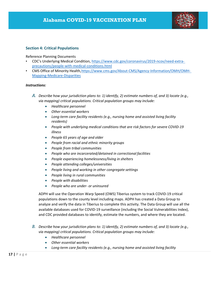

### **Section 4: Critical Populations**

#### Reference Planning Documents

- CDC's Underlying Medical Condition, https://www.cdc.gov/coronavirus/2019‐ncov/need‐extra‐ precautions/people‐with‐medical‐conditions.html
- CMS Office of Minority Health, https://www.cms.gov/About-CMS/Agency-Information/OMH/OMH-Mapping‐Medicare‐Disparities

#### *Instructions:*

- *A. Describe how your jurisdiction plans to: 1) identify, 2) estimate numbers of, and 3) locate (e.g., via mapping) critical populations. Critical population groups may include:*
	- *Healthcare personnel*
	- *Other essential workers*
	- *Long‐term care facility residents (e.g., nursing home and assisted living facility residents)*
	- *People with underlying medical conditions that are risk factors for severe COVID‐19 illness*
	- *People 65 years of age and older*
	- *People from racial and ethnic minority groups*
	- *People from tribal communities*
	- *People who are incarcerated/detained in correctional facilities*
	- *People experiencing homelessness/living in shelters*
	- *People attending colleges/universities*
	- *People living and working in other congregate settings*
	- *People living in rural communities*
	- *People with disabilities*
	- *People who are under‐ or uninsured*

ADPH will use the Operation Warp Speed (OWS) Tiberius system to track COVID‐19 critical populations down to the county level including maps. ADPH has created a Data Group to analyze and verify the data in Tiberius to complete this activity. The Data Group will use all the available databases used for COVID‐19 surveillance (including the Social Vulnerabilities Index), and CDC provided databases to identify, estimate the numbers, and where they are located.

- *B. Describe how your jurisdiction plans to: 1) identify, 2) estimate numbers of, and 3) locate (e.g., via mapping) critical populations. Critical population groups may include:*
	- *Healthcare personnel*
	- *Other essential workers*
	- *Long‐term care facility residents (e.g., nursing home and assisted living facility*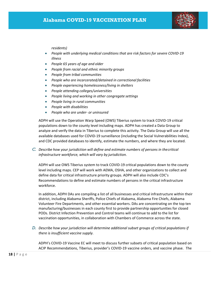

*residents)*

- *People with underlying medical conditions that are risk factors for severe COVID‐19 illness*
- *People 65 years of age and older*
- *People from racial and ethnic minority groups*
- *People from tribal communities*
- *People who are incarcerated/detained in correctional facilities*
- *People experiencing homelessness/living in shelters*
- *People attending colleges/universities*
- *People living and working in other congregate settings*
- *People living in rural communities*
- *People with disabilities*
- *People who are under‐ or uninsured*

ADPH will use the Operation Warp Speed (OWS) Tiberius system to track COVID‐19 critical populations down to the county level including maps. ADPH has created a Data Group to analyze and verify the data in Tiberius to complete this activity. The Data Group will use all the available databases used for COVID‐19 surveillance (including the Social Vulnerabilities Index), and CDC provided databases to identify, estimate the numbers, and where they are located.

*C. Describe how your jurisdiction will define and estimate numbers of persons in thecritical infrastructure workforce, which will vary by jurisdiction.*

ADPH will use OWS Tiberius system to track COVID-19 critical populations down to the county level including maps. CEP will work with AEMA, OSHA, and other organizations to collect and define data for critical infrastructure priority groups. ADPH will also include CDC's Recommendations to define and estimate numbers of persons in the critical infrastructure workforce.

In addition, ADPH DAs are compiling a list of all businesses and critical infrastructure within their district, including Alabama Sheriffs, Police Chiefs of Alabama, Alabama Fire Chiefs, Alabama Volunteer Fire Departments, and other essential workers. DAs are concentrating on the top ten manufacturing/businesses in each county first to provide partnership opportunities for closed PODs. District Infection Prevention and Control teams will continue to add to the list for vaccination opportunities, in collaboration with Chambers of Commerce across the state.

*D. Describe how your jurisdiction will determine additional subset groups of critical populations if there is insufficient vaccine supply.*

ADPH's COVID‐19 Vaccine EC will meet to discuss further subsets of critical population based on ACIP Recommendations, Tiberius, provider's COVID‐19 vaccine orders, and vaccine phase. The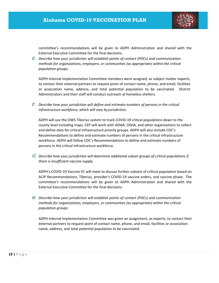

committee's recommendations will be given to ADPH Administration and shared with the External Executive Committee for the final decisions.

*E. Describe how your jurisdiction will establish points of contact (POCs) and communication methods for organizations, employers, or communities (as appropriate) within the critical population groups.*

ADPH Internal Implementation Committee members were assigned, as subject matter experts, to contact their external partners to request point of contact name, phone, and email, facilities or association name, address, and total potential population to be vaccinated. District Administrators and their staff will conduct outreach at homeless shelters.

*F. Describe how your jurisdiction will define and estimate numbers of persons in the critical infrastructure workforce, which will vary by jurisdiction.*

ADPH will use the OWS Tiberius system to track COVID‐19 critical populations down to the county level including maps. CEP will work with AEMA, OSHA, and other organizations to collect and define data for critical infrastructure priority groups. ADPH will also include CDC's Recommendations to define and estimate numbers of persons in the critical infrastructure workforce. ADPH will follow CDC's Recommendations to define and estimate numbers of persons in the critical infrastructure workforce.

*G. Describe how your jurisdiction will determine additional subset groups of critical populations if there is insufficient vaccine supply.*

ADPH's COVID‐19 Vaccine EC will meet to discuss further subsets of critical population based on ACIP Recommendations, Tiberius, provider's COVID‐19 vaccine orders, and vaccine phase. The committee's recommendations will be given to ADPH Administration and shared with the External Executive Committee for the final decisions.

*H. Describe how your jurisdiction will establish points of contact (POCs) and communication methods for organizations, employers, or communities (as appropriate) within the critical population groups.*

ADPH Internal Implementation Committee was given an assignment, as experts, to contact their external partners to request point of contact name, phone, and email, facilities or association name, address, and total potential population to be vaccinated.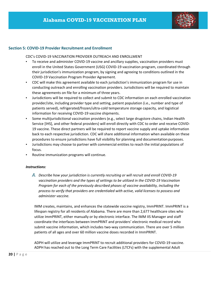

#### **Section 5: COVID‐19 Provider Recruitment and Enrollment**

CDC's COVID‐19 VACCINATION PROVIDER OUTREACH AND ENROLLMENT

- To receive and administer COVID-19 vaccine and ancillary supplies, vaccination providers must enroll in the United States Government (USG) COVID‐19 vaccination program, coordinated through their jurisdiction's immunization program, by signing and agreeing to conditions outlined in the COVID‐19 Vaccination Program Provider Agreement.
- CDC will make this agreement available to each jurisdiction's immunization program for use in conducting outreach and enrolling vaccination providers. Jurisdictions will be required to maintain these agreements on file for a minimum of three years.
- Jurisdictions will be required to collect and submit to CDC information on each enrolled vaccination provider/site, including provider type and setting, patient population (i.e., number and type of patients served), refrigerated/frozen/ultra‐cold temperature storage capacity, and logistical information for receiving COVID‐19 vaccine shipments.
- Some multijurisdictional vaccination providers (e.g., select large drugstore chains, Indian Health Service [IHS], and other federal providers) will enroll directly with CDC to order and receive COVID‐ 19 vaccine. These direct partners will be required to report vaccine supply and uptake information back to each respective jurisdiction. CDC will share additional information when available on these procedures to ensure jurisdictions have full visibility for planning and documentationpurposes.
- Jurisdictions may choose to partner with commercial entities to reach the initial populations of focus.
- Routine immunization programs will continue.

#### *Instructions:*

*A. Describe how your jurisdiction is currently recruiting or will recruit and enroll COVID‐19 vaccination providers and the types of settings to be utilized in the COVID‐19 Vaccination Program for each of the previously described phases of vaccine availability, including the process to verify that providers are credentialed with active, valid licenses to possess and administer vaccine.*

IMM creates, maintains, and enhances the statewide vaccine registry, ImmPRINT. ImmPRINT is a lifespan registry for all residents of Alabama. There are more than 2,677 healthcare sites who utilize ImmPRINT, either manually or by electronic interface. The IMM IIS Manager and staff coordinate the interfaces between ImmPRINT and providers' electronic medical record who submit vaccine information, which includes two‐way communication. There are over 5 million patients of all ages and over 60 million vaccine doses recorded in ImmPRINT.

ADPH will utilize and leverage ImmPRINT to recruit additional providers for COVID‐19 vaccine. ADPH has reached out to the Long Term Care Facilities (LTCFs) with the supplemental Adult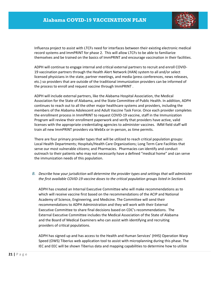

Influenza project to assist with LTCFs need for interfaces between their existing electronic medical record systems and ImmPRINT for phase 2. This will allow LTCFs to be able to familiarize themselves and be trained on the basics of ImmPRINT and encourage vaccination in their facilities.

ADPH will continue to engage internal and critical external partners to recruit and enroll COVID‐ 19 vaccination partners through the Health Alert Network (HAN) system to all and/or select licensed physicians in the state, partner meetings, and media (press conferences, news releases, etc.) so providers that are outside of the traditional immunization providers can be informed of the process to enroll and request vaccine through ImmPRINT .

ADPH will include external partners, like the Alabama Hospital Association, the Medical Association for the State of Alabama, and the State Committee of Public Health. In addition, ADPH continues to reach out to all the other major healthcare systems and providers, including the members of the Alabama Adolescent and Adult Vaccine Task Force. Once each provider completes the enrollment process in ImmPRINT to request COVID‐19 vaccine, staff in the Immunization Program will review their enrollment paperwork and verify that providers have active, valid licenses with the appropriate credentialing agencies to administer vaccines. IMM field staff will train all new ImmPRINT providers via WebEx or in‐person, as time permits.

There are four primary provider types that will be utilized to reach critical population groups: Local Health Departments; Hospitals/Health Care Organizations; Long Term Care Facilities that serve our most vulnerable citizens; and Pharmacies. Pharmacies can identify and conduct outreach to their patients who may not necessarily have a defined "medical home" and can serve the immunization needs of this population.

*B. Describe how your jurisdiction will determine the provider types and settings that will administer the first available COVID‐19 vaccine doses to the critical population groups listed in Section4.*

ADPH has created an Internal Executive Committee who will make recommendations as to which will receive vaccine first based on the recommendations of the ACIP and National Academy of Science, Engineering, and Medicine. The Committee will send their recommendations to ADPH Administration and they will work with their External Executive Committee to share final decisions based on CDC's recommendations. The External Executive Committee includes the Medical Association of the State of Alabama and the Board of Medical Examiners who can assist with identifying and recruiting providers of critical populations.

ADPH has signed up and has access to the Health and Human Services' (HHS) Operation Warp Speed (OWS) Tiberius web application tool to assist with microplanning during this phase. The IEC and EEC will be shown Tiberius data and mapping capabilities to determine how to utilize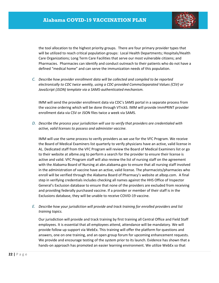

the tool allocation to the highest priority groups. There are four primary provider types that will be utilized to reach critical population groups: Local Health Departments; Hospitals/Health Care Organizations; Long Term Care Facilities that serve our most vulnerable citizens; and Pharmacies. Pharmacies can identify and conduct outreach to their patients who do not have a defined "medical home" and can serve the immunization needs of this population.

*C. Describe how provider enrollment data will be collected and compiled to be reported electronically to CDC twice weekly, using a CDC‐provided CommaSeparated Values (CSV) or JavaScript (JSON) template via a SAMS‐authenticated mechanism.*

IMM will send the provider enrollment data via CDC's SAMS portal in a separate process from the vaccine ordering which will be done through VTrckS. IMM will provide ImmPRINT provider enrollment data via CSV or JSON files twice a week via SAMS.

*D. Describe the process your jurisdiction will use to verify that providers are credentialed with active, valid licenses to possess and administer vaccine.*

IMM will use the same process to verify providers as we use for the VFC Program. We receive the Board of Medical Examiners list quarterly to verify physicians have an active, valid license in AL. Dedicated staff from the VFC Program will review the Board of Medical Examiners list or go to their website at albme.org to perform a search for the provider to ensure their license is active and valid. VFC Program staff will also review the list of nursing staff on the agreement with the Alabama Board of Nursing at abn.alabama.gov to ensure that all nursing staff involved in the administration of vaccine have an active, valid license. The pharmacists/pharmacies who enroll will be verified through the Alabama Board of Pharmacy's website at albop.com. A final step in verifying credentials includes checking all names against the HHS Office of Inspector General's Exclusion database to ensure that none of the providers are excluded from receiving and providing federally purchased vaccine. If a provider or member of their staff is in the Exclusions database, they will be unable to receive COVID‐19 vaccine.

*E. Describe how your jurisdiction will provide and track training for enrolled providers and list training topics.*

Our jurisdiction will provide and track training by first training all Central Office and Field Staff employees. It is essential that all employees attend, attendance will be mandatory. We will provide follow up support via WebEx. This training will offer the platform for questions and answers, one on one training, and an open group forum for upcoming enhancement requests. We provide and encourage testing of the system prior to its launch. Evidence has shown that a hands‐on approach has promoted an easier learning environment. We utilize WebEx so that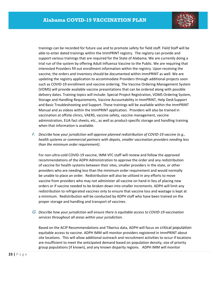

trainings can be recorded for future use and to promote safety for field staff. Field Staff will be able to enter dated trainings within the ImmPRINT registry. The registry can provide and support various trainings that are required for the State of Alabama. We are currently doing a trial run of the system by offering Adult Influenza Vaccine to the Public. We are requiring that interested Providers fill out enrollment information within the registry. Upon receiving the vaccine, the orders and inventory should be documented within ImmPRINT as well. We are updating the registry application to accommodate Providers through additional projects soon such as COVID‐19 enrollment and vaccine ordering. The Vaccine Ordering Management System (VOMS) will provide available vaccine presentations that can be ordered along with possible delivery dates. Training topics will include: Special Project Registration, VOMS Ordering System, Storage and Handling Requirements, Vaccine Accountability in ImmPRINT, Help Desk Support and Basic Troubleshooting and Support. These trainings will be available within the ImmPRINT Manual and as videos within the ImmPRINT application. Providers will also be trained in vaccination at offsite clinics, VAERS, vaccine safety, vaccine management, vaccine administration, EUA fact sheets, etc., as well as product‐specific storage and handling training when that information is available.

*F. Describe how your jurisdiction will approve planned redistribution of COVID‐19 vaccine (e.g., health systems or commercial partners with depots, smaller vaccination providers needing less than the minimum order requirement).*

For non‐ultra‐cold COVID‐19 vaccine, IMM VFC staff will review and follow the approved recommendations of the ADPH Administration to approve the order and any redistribution of vaccine for health systems between their sites, smaller providers in the state, or other providers who are needing less than the minimum order requirement and would normally be unable to place an order. Redistribution will also be utilized in any efforts to move vaccine from providers who may not administer all vaccine on hand in lieu of placing new orders or if vaccine needed to be broken down into smaller increments. ADPH will limit any redistribution to refrigerated vaccines only to ensure that vaccine loss and wastage is kept at a minimum. Redistribution will be conducted by ADPH staff who have been trained on the proper storage and handling and transport of vaccines.

*G. Describe how your jurisdiction will ensure there is equitable access to COVID‐19 vaccination services throughout all areas within your jurisdiction.*

Based on the ACIP Recommendations and Tiberius data, ADPH will focus on critical population equitable access to vaccine. ADPH IMM will monitor providers registered in ImmPRINT about site locations. This will allow additional outreach and recruitment activities to occur if locations are insufficient to meet the anticipated demand based on population density, size of priority group populations (if known), and any known disparity regions. ADPH IMM will monitor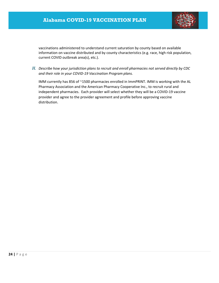

vaccinations administered to understand current saturation by county based on available information on vaccine distributed and by county characteristics (e.g. race, high risk population, current COVID outbreak area(s), etc.).

*H. Describe how your jurisdiction plans to recruit and enroll pharmacies not served directly by CDC and their role in your COVID‐19 Vaccination Program plans.*

IMM currently has 856 of ~1500 pharmacies enrolled in ImmPRINT. IMM is working with the AL Pharmacy Association and the American Pharmacy Cooperative Inc., to recruit rural and independent pharmacies. Each provider will select whether they will be a COVID‐19 vaccine provider and agree to the provider agreement and profile before approving vaccine distribution.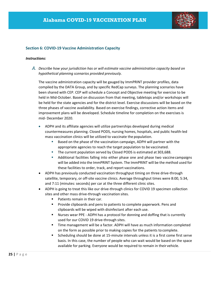

#### **Section 6: COVID‐19 Vaccine Administration Capacity**

#### *Instructions:*

*A. Describe how your jurisdiction has or will estimate vaccine administration capacity based on hypothetical planning scenarios provided previously.*

The vaccine administration capacity will be gauged by ImmPRINT provider profiles, data compiled by the DATA Group, and by specific RedCap surveys. The planning scenarios have been shared with CEP. CEP will schedule a Concept and Objective meeting for exercise to be held in Mid-October. Based on discussion from that meeting, tabletops and/or workshops will be held for the state agencies and for the district level. Exercise discussions will be based on the three phases of vaccine availability. Based on exercise findings, corrective action items and improvement plans will be developed. Schedule timeline for completion on the exercises is mid‐ December 2020.

- ADPH and its affiliate agencies will utilize partnerships developed during medical countermeasures planning. Closed PODS, nursing homes, hospitals, and public health‐led mass vaccination clinics will be utilized to vaccinate the population.
	- Based on the phase of the vaccination campaign, ADPH will partner with the appropriate agencies to reach the target population to be vaccinated.
	- **The current population served by Closed PODS is estimated at 303,688.**
	- Additional facilities falling into either phase one and phase two vaccinecampaigns will be added into the ImmPRINT System. The ImmPRINT will be the method used for these facilities to order, track, and report vaccinations.
- ADPH has previously conducted vaccination throughput timing on three drive-through satellite, temporary, or off‐site vaccine clinics. Average throughput times were 8:00, 5:34, and 7:11 (minutes: seconds) per car at the three different clinic sites.
- ADPH is going to treat this like our drive-through clinics for COVID 19 specimen collection sites and other mass drive-through vaccination sites.
	- **Patients remain in their car.**
	- **Provide clipboards and pens to patients to complete paperwork. Pens and** clipboards will be wiped with disinfectant after each use.
	- Nurses wear PPE ADPH has a protocol for donning and doffing that is currently used for our COVID 19 drive-through sites.
	- Time management will be a factor. ADPH will have as much information completed on the form as possible prior to making copies for the patients to complete.
	- Scheduling should be done at 15-minute intervals unless it is a first come first serve basis. In this case, the number of people who can wait would be based on the space available for parking. Everyone would be required to remain in their vehicle.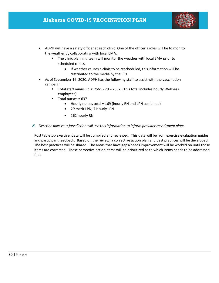

- ADPH will have a safety officer at each clinic. One of the officer's roles will be to monitor the weather by collaborating with local EMA.
	- **The clinic planning team will monitor the weather with local EMA prior to** scheduled clinics.
		- If weather causes a clinic to be rescheduled, this information will be distributed to the media by the PIO.
- As of September 16, 2020, ADPH has the following staff to assist with the vaccination campaign.
	- Total staff minus Epis: 2561 29 = 2532. (This total includes hourly Wellness employees)
	- $\blacksquare$  Total nurses = 637
		- Hourly nurses total = 169 (hourly RN and LPN combined)
		- 29 merit LPN; 7 Hourly LPN
		- 162 hourly RN

#### *B. Describe how your jurisdiction will use this information to inform provider recruitment plans.*

Post tabletop exercise, data will be compiled and reviewed. This data will be from exercise evaluation guides and participant feedback. Based on the review, a corrective action plan and best practices will be developed. The best practices will be shared. The areas that have gaps/needs improvement will be worked on until those items are corrected. These corrective action items will be prioritized as to which items needs to be addressed first.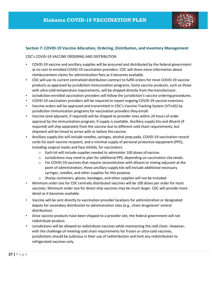

#### **Section 7: COVID‐19 Vaccine Allocation, Ordering, Distribution, and Inventory Management**

#### CDC's COVID‐19 VACCINE ORDERING AND DISTRIBUTION

- COVID-19 vaccine and ancillary supplies will be procured and distributed by the federal government at no cost to enrolled COVID‐19 vaccination providers. CDC will share more information about reimbursement claims for administration fees as it becomes available.
- CDC will use its current centralized distribution contract to fulfill orders for most COVID‐19 vaccine products as approved by jurisdiction immunization programs. Some vaccine products, such as those with ultra-cold temperature requirements, will be shipped directly from the manufacturer.
- Jurisdiction‐enrolled vaccination providers will follow the jurisdiction's vaccine ordering procedures.
- COVID-19 vaccination providers will be required to report ongoing COVID-19 vaccine inventory.
- Vaccine orders will be approved and transmitted in CDC's Vaccine Tracking System (VTrckS) by jurisdiction immunization programs for vaccination providers they enroll.
- Vaccine (and adjuvant, if required) will be shipped to provider sites within 24 hours of order approval by the immunization program, if supply is available. Ancillary supply kits and diluent (if required) will ship separately from the vaccine due to different cold chain requirements, but shipment will be timed to arrive with or before the vaccine.
- Ancillary supply kits will include needles, syringes, alcohol prep pads, COVID‐19 vaccination record cards for each vaccine recipient, and a minimal supply of personal protective equipment (PPE), including surgical masks and face shields, for vaccinators.
	- o Each kit will include supplies needed to administer 100 doses of vaccine.
	- $\circ$  Jurisdictions may need to plan for additional PPE, depending on vaccination site needs.
	- o For COVID‐19 vaccines that require reconstitution with diluent or mixing adjuvant at the point of administration, these ancillary supply kits will include additional necessary syringes, needles, and other supplies for this purpose.
	- $\circ$  Sharps containers, gloves, bandages, and other supplies will not be included.
- Minimum order size for CDC centrally distributed vaccines will be 100 doses per order for most vaccines. Minimum order size for direct‐ship vaccines may be much larger. CDC will provide more detail as it becomes available.
- Vaccine will be sent directly to vaccination provider locations for administration or designated depots for secondary distribution to administration sites (e.g., chain drugstores' central distribution).
- Once vaccine products have been shipped to a provider site, the federal government will not redistribute product.
- Jurisdictions will be allowed to redistribute vaccines while maintaining the cold chain. However, with the challenge of meeting cold chain requirements for frozen or ultra-cold vaccines, jurisdictions should be judicious in their use of redistribution and limit any redistribution to refrigerated vaccines only.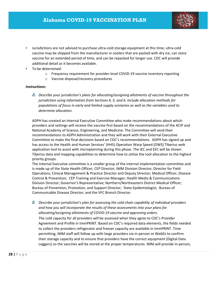

- Jurisdictions are not advised to purchase ultra-cold storage equipment at this time; ultra-cold vaccine may be shipped from the manufacturer in coolers that are packed with dry ice, can store vaccine for an extended period of time, and can be repacked for longer use. CDC will provide additional detail as it becomes available.
- To be determined:
	- o Frequency requirement for provider‐level COVID‐19 vaccine inventory reporting
	- o Vaccine disposal/recovery procedures

#### *Instructions:*

*A. Describe your jurisdiction's plans for allocating/assigning allotments of vaccine throughout the jurisdiction using information from Sections 4, 5, and 6. Include allocation methods for populations of focus in early and limited supply scenarios as well as the variables used to determine allocation.*

ADPH has created an Internal Executive Committee who make recommendations about which providers and settings will receive the vaccine first based on the recommendations of the ACIP and National Academy of Science, Engineering, and Medicine. The Committee will send their recommendations to ADPH Administration and they will work with their External Executive Committee to make the final decisions based on CDC's recommendations. ADPH has signed up and has access to the Health and Human Services' (HHS) Operation Warp Speed (OWS) Tiberius web application tool to assist with microplanning during this phase. The IEC and EEC will be shown Tiberius data and mapping capabilities to determine how to utilize the tool allocation to the highest priority groups.

The Internal Executive committee is a smaller group of the internal implementation committee and is made up of the State Health Officer; CEP Director; IMM Division Director; Director for Field Operations; Clinical Management & Practice Director and Deputy Director; Medical Officer, Disease Control & Prevention; CEP Training and Exercise Manager; Health Media & Communications Division Director; Governor's Representative; Northern/Northeastern District Medical Officer; Bureau of Prevention, Promotion, and Support Director; State Epidemiologist; Bureau of Communicable Disease Director; and the VFC Branch Director.

*B. Describe your jurisdiction's plan for assessing the cold chain capability of individual providers and how you will incorporate the results of these assessments into your plans for allocating/assigning allotments of COVID‐19 vaccine and approving orders.* The cold capacity for all providers will be assessed when they agree to CDC's Provider Agreement and Profile in ImmPRINT. Based on CDC's required data elements, the fields needed to collect the providers refrigerator and freezer capacity are available in ImmPRINT. Time permitting, IMM staff will follow up with large providers via in‐person or WebEx to confirm their storage capacity and to ensure that providers have the correct equipment (Digital Data Loggers) so the vaccines will be stored at the proper temperatures. IMM will provide in‐person,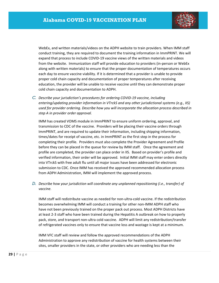

WebEx, and written materials/videos on the ADPH website to train providers. When IMM staff conduct training, they are required to document the training information in ImmPRINT. We will expand that process to include COVID‐19 vaccine views of the written materials and videos from the website. Immunization staff will provide education to providers (in-person or WebEx along with written materials) to ensure that the proper documentation of temperatures occurs each day to ensure vaccine viability. If it is determined that a provider is unable to provide proper cold chain capacity and documentation of proper temperatures after receiving education, the provider will be unable to receive vaccine until they can demonstrate proper cold chain capacity and documentation to ADPH.

*C. Describe your jurisdiction's procedures for ordering COVID‐19 vaccine, including entering/updating provider information in VTrckS and any other jurisdictional systems (e.g., IIS) used for provider ordering. Describe how you will incorporate the allocation process described in step A in provider order approval.*

IMM has created VOMS module in ImmPRINT to ensure uniform ordering, approval, and transmission to CDC of the vaccine. Providers will be placing their vaccine orders through ImmPRINT, and are required to update their information, including shipping information, times/dates for receipt of vaccine, etc. in ImmPRINT as the first step in the process for completing their profile. Providers must also complete the Provider Agreement and Profile before they can be placed in the queue for review by IMM staff. Once the agreement and profile are completed, the provider can place order in IIS. Based on provider's profile and verified information, their order will be approved. Initial IMM staff may enter orders directly into VTrckS with free adult flu until all major issues have been addressed for electronic submission to CDC. Once IMM has received the approved recommended allocation process from ADPH Administration, IMM will implement the approved process.

*D. Describe how your jurisdiction will coordinate any unplanned repositioning (i.e., transfer) of vaccine.*

IMM staff will redistribute vaccine as needed for non‐ultra‐cold vaccine. If the redistribution becomes overwhelming IMM will conduct a training for other non‐IMM ADPH staff who have not been previously trained on the proper pack out process. Most ADPH Districts have at least 2‐3 staff who have been trained during the Hepatitis A outbreak on how to properly pack, store, and transport non‐ultra cold vaccine. ADPH will limit any redistribution/transfer of refrigerated vaccines only to ensure that vaccine loss and wastage is kept at a minimum.

IMM VFC staff will review and follow the approved recommendations of the ADPH Administration to approve any redistribution of vaccine for health systems between their sites, smaller providers in the state, or other providers who are needing less than the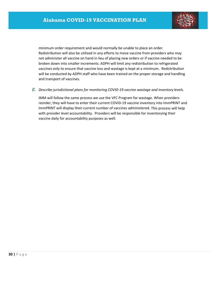

minimum order requirement and would normally be unable to place an order. Redistribution will also be utilized in any efforts to move vaccine from providers who may not administer all vaccine on hand in lieu of placing new orders or if vaccine needed to be broken down into smaller increments. ADPH will limit any redistribution to refrigerated vaccines only to ensure that vaccine loss and wastage is kept at a minimum. Redistribution will be conducted by ADPH staff who have been trained on the proper storage and handling and transport of vaccines.

*E. Describe jurisdictional plans for monitoring COVID‐19 vaccine wastage and inventory levels.*

IMM will follow the same process we use the VFC Program for wastage. When providers reorder, they will have to enter their current COVID‐19 vaccine inventory into ImmPRINT and ImmPRINT will display their current number of vaccines administered. This process will help with provider level accountability. Providers will be responsible for inventorying their vaccine daily for accountability purposes as well.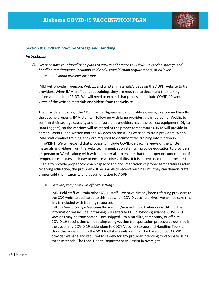

#### **Section 8: COVID‐19 Vaccine Storage and Handling**

#### *Instructions:*

- *A. Describe how your jurisdiction plans to ensure adherence to COVID‐19 vaccine storage and handling requirements, including cold and ultracold chain requirements, at all levels:*
	- *Individual provider locations*

IMM will provide in‐person, WebEx, and written materials/videos on the ADPH website to train providers. When IMM staff conduct training, they are required to document the training information in ImmPRINT. We will need to expand that process to include COVID‐19 vaccine views of the written materials and videos from the website.

The providers must sign the CDC Provider Agreement and Profile agreeing to store and handle the vaccine properly. IMM staff will follow up with large providers via in‐person or WebEx to confirm their storage capacity and to ensure that providers have the correct equipment (Digital Data Loggers), so the vaccines will be stored at the proper temperatures. IMM will provide in‐ person, WebEx, and written materials/videos on the ADPH website to train providers. When IMM staff conduct training, they are required to document the training information in ImmPRINT. We will expand that process to include COVID‐19 vaccine views of the written materials and videos from the website. Immunization staff will provide education to providers (in‐person or WebEx along with written materials) to ensure that the proper documentation of temperatures occurs each day to ensure vaccine viability. If it is determined that a provider is unable to provide proper cold chain capacity and documentation of proper temperatures after receiving education, the provider will be unable to receive vaccine until they can demonstrate proper cold chain capacity and documentation to ADPH.

*Satellite, temporary, or off‐site settings*

IMM field staff will train other ADPH staff. We have already been referring providers to the CDC website dedicated to this, but when COVID vaccine arrives, we will be sure this link is included with training resources (https://www.cdc.gov/vaccines/hcp/admin/mass‐clinic‐activities/index.html). The

information we include in training will reiterate CDC playbook guidance: COVID‐19 vaccines may be transported—not shipped—to a satellite, temporary, or off‐site COVID‐19 vaccination clinic setting using vaccine transportation procedures outlined in the upcoming COVID‐19 addendum to CDC's Vaccine Storage and Handling Toolkit. Once this addendum to the S&H toolkit is available, it will be linked on our COVID provider website and required to review for any provider intending to vaccinate using these methods. The Local Health Department will assist in oversight.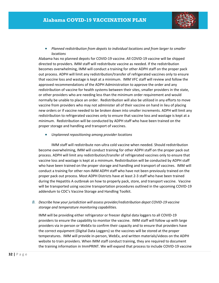

#### *Planned redistribution from depots to individual locations and from larger to smaller locations*

Alabama has no planned depots for COVID‐19 vaccine. All COVID‐19 vaccine will be shipped directed to providers. IMM staff will redistribute vaccine as needed. If the redistribution becomes overwhelming, IMM will conduct a training for other ADPH staff on the proper pack out process. ADPH will limit any redistribution/transfer of refrigerated vaccines only to ensure that vaccine loss and wastage is kept at a minimum. IMM VFC staff will review and follow the approved recommendations of the ADPH Administration to approve the order and any redistribution of vaccine for health systems between their sites, smaller providers in the state, or other providers who are needing less than the minimum order requirement and would normally be unable to place an order. Redistribution will also be utilized in any efforts to move vaccine from providers who may not administer all of their vaccine on hand in lieu of placing new orders or if vaccine needed to be broken down into smaller increments. ADPH will limit any redistribution to refrigerated vaccines only to ensure that vaccine loss and wastage is kept at a minimum. Redistribution will be conducted by ADPH staff who have been trained on the proper storage and handling and transport of vaccines.

*Unplanned repositioning among provider locations*

IMM staff will redistribute non‐ultra cold vaccine when needed. Should redistribution become overwhelming, IMM will conduct training for other ADPH staff on the proper pack out process. ADPH will limit any redistribution/transfer of refrigerated vaccines only to ensure that vaccine loss and wastage is kept at a minimum. Redistribution will be conducted by ADPH staff who have been trained on the proper storage and handling and transport of vaccines. IMM will conduct a training for other non‐IMM ADPH staff who have not been previously trained on the proper pack out process. Most ADPH Districts have at least 2‐3 staff who have been trained during the Hepatitis A outbreak on how to properly pack, store, and transport vaccine. Vaccine will be transported using vaccine transportation procedures outlined in the upcoming COVID‐19 addendum to CDC's Vaccine Storage and Handling Toolkit.

*B. Describe how your jurisdiction will assess provider/redistribution depot COVID‐19 vaccine storage and temperature monitoring capabilities.*

IMM will be providing either refrigerator or freezer digital data loggers to all COVID‐19 providers to ensure the capability to monitor the vaccine. IMM staff will follow up with large providers via in‐person or WebEx to confirm their capacity and to ensure that providers have the correct equipment (Digital Data Loggers) so the vaccines will be stored at the proper temperatures. IMM will provide in‐person, WebEx, and written materials/videos on the ADPH website to train providers. When IMM staff conduct training, they are required to document the training information in ImmPRINT. We will expand that process to include COVID‐19 vaccine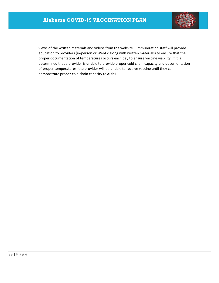

views of the written materials and videos from the website. Immunization staff will provide education to providers (in‐person or WebEx along with written materials) to ensure that the proper documentation of temperatures occurs each day to ensure vaccine viability. If it is determined that a provider is unable to provide proper cold chain capacity and documentation of proper temperatures, the provider will be unable to receive vaccine until they can demonstrate proper cold chain capacity to ADPH.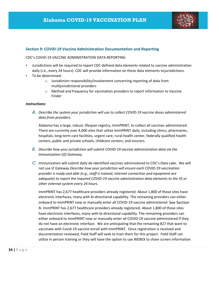

#### **Section 9: COVID‐19 Vaccine Administration Documentation and Reporting**

#### CDC's COVID‐19 VACCINE ADMINISTRATION DATA REPORTING

- Jurisdictions will be required to report CDC‐defined data elements related to vaccine administration daily (i.e., every 24 hours). CDC will provide information on these data elements tojurisdictions.
- To be determined:
	- o Jurisdiction responsibility/involvement concerning reporting of data from multijurisdictional providers
	- o Method and frequency for vaccination providers to report information to Vaccine Finder

#### *Instructions:*

*A. Describe the system your jurisdiction will use to collect COVID‐19 vaccine doses administered data from providers.*

Alabama has a large, robust, lifespan registry, ImmPRINT, to collect all vaccines administered. There are currently over 4,000 sites that utilize ImmPRINT daily, including clinics, pharmacies, hospitals, long‐term care facilities, urgent care, rural health center, federally qualified health centers, public and private schools, childcare centers, and insurers.

- *B. Describe how your jurisdiction will submit COVID‐19 vaccine administration data via the Immunization (IZ) Gateway.*
- *C.* Immunization will submit daily de‐identified vaccines administered to CDC's Data Lake. We will not use IZ Gateway *Describe how your jurisdiction will ensure each COVID‐19 vaccination provider is ready and able (e.g., staff is trained, internet connection and equipment are adequate) to report the required COVID‐19 vaccine administration data elements to the IIS or other external system every 24 hours.*

ImmPRINT has 2,677 healthcare providers already registered. About 1,800 of those sites have electronic interfaces, many with bi-directional capability. The remaining providers can either onboard to ImmPRINT now or manually enter all COVID‐19 vaccine administered. See Section A. ImmPRINT has 2,677 healthcare providers already registered. About 1,800 of those sites have electronic interfaces, many with bi-directional capability. The remaining providers can either onboard to ImmPRINT now or manually enter all COVID‐19 vaccine administered if they do not have an electronic interface. We are anticipating that the remaining 827 that want to vaccinate with Covid‐19 vaccine enroll with ImmPRINT. Once registration is received and documentation reviewed, Field Staff will seek to train them for this project. Field Staff can utilize in person training or they will have the option to use WEBEX to share screen information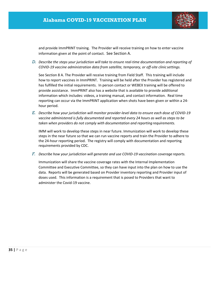

and provide ImmPRINT training. The Provider will receive training on how to enter vaccine information given at the point of contact. See Section A.

*D. Describe the steps your jurisdiction will take to ensure real‐time documentation and reporting of COVID‐19 vaccine administration data from satellite, temporary, or off‐site clinic settings.*

See Section 8 A. The Provider will receive training from Field Staff. This training will include how to report vaccines in ImmPRINT. Training will be held after the Provider has registered and has fulfilled the initial requirements. In person contact or WEBEX training will be offered to provide assistance. ImmPRINT also has a website that is available to provide additional information which includes: videos, a training manual, and contact information. Real time reporting can occur via the ImmPRINT application when shots have been given or within a 24‐ hour period.

E. Describe how your jurisdiction will monitor provider-level data to ensure each dose of COVID-19 *vaccine administered is fully documented and reported every 24 hours as well as steps to be taken when providers do not comply with documentation and reporting requirements.*

IMM will work to develop these steps in near future. Immunization will work to develop these steps in the near future so that we can run vaccine reports and train the Provider to adhere to the 24‐hour reporting period. The registry will comply with documentation and reporting requirements provided by CDC.

*F. Describe how your jurisdiction will generate and use COVID‐19 vaccination coverage reports.*

Immunization will share the vaccine coverage rates with the Internal Implementation Committee and Executive Committee, so they can have input into the plan on how to use the data. Reports will be generated based on Provider inventory reporting and Provider input of doses used. This information is a requirement that is posed to Providers that want to administer the Covid‐19 vaccine.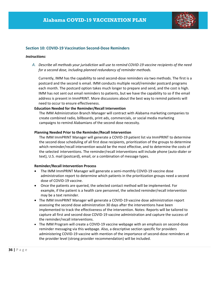

#### **Section 10: COVID‐19 Vaccination Second‐Dose Reminders**

#### *Instructions:*

A. Describe all methods your jurisdiction will use to remind COVID-19 vaccine recipients of the need *for a second dose, including planned redundancy of reminder methods.*

Currently, IMM has the capability to send second‐dose reminders via two methods. The first is a postcard and the second is email. IMM conducts multiple recall/reminder postcard programs each month. The postcard option takes much longer to prepare and send, and the cost is high. IMM has not sent out email reminders to patients, but we have the capability to so if the email address is present in ImmPRINT. More discussions about the best way to remind patients will need to occur to ensure effectiveness.

#### **Education Needed for the Reminder/Recall Intervention**

The IMM Administration Branch Manager will contract with Alabama marketing companies to create combined radio, billboards, print ads, commercials, or social media marketing campaigns to remind Alabamians of the second dose necessity.

#### **Planning Needed Prior to the Reminder/Recall Intervention**

The IMM ImmPRINT Manager will generate a COVID‐19 patient list via ImmPRINT to determine the second dose scheduling of all first dose recipients, prioritization of the groups to determine which reminder/recall intervention would be the most effective, and to determine the costs of the selected interventions. The reminder/recall interventions will include phone (auto‐dialer or text), U.S. mail (postcard), email, or a combination of message types.

#### **Reminder/Recall Intervention Process**

- The IMM ImmPRINT Manager will generate a semi‐monthly COVID‐19 vaccine dose administration report to determine which patients in the prioritization groups need a second dose of COVID‐19 vaccine.
- Once the patients are queried, the selected contact method will be implemented. For example, if the patient is a health care personnel, the selected reminder/recall intervention may be a text reminder.
- The IMM ImmPRINT Manager will generate a COVID-19 vaccine dose administration report assessing the second dose administration 30 days after the interventions have been implemented to track the effectiveness of the intervention. Notes: Reports will be tailored to capture all first and second dose COVID‐19 vaccine administration and capture the success of the reminder/recall interventions.
- The IMM Program will create a COVID-19 vaccine webpage with an emphasis on second-dose reminder messaging via this webpage. Also, a descriptive section specific for providers administering COVID‐19 vaccine with mention of the importance of second‐dose reminders at the provider level (strong provider recommendation) will be included.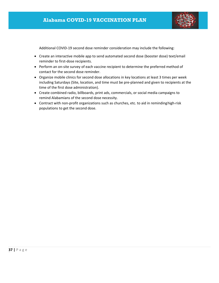

Additional COVID‐19 second dose reminder consideration may include the following:

- Create an interactive mobile app to send automated second dose (booster dose) text/email reminder to first‐dose recipients.
- Perform an on-site survey of each vaccine recipient to determine the preferred method of contact for the second dose reminder.
- Organize mobile clinics for second dose allocations in key locations at least 3 times per week including Saturdays (Site, location, and time must be pre‐planned and given to recipients at the time of the first dose administration).
- Create combined radio, billboards, print ads, commercials, or social media campaigns to remind Alabamians of the second dose necessity.
- Contract with non-profit organizations such as churches, etc. to aid in reminding high-risk populations to get the second dose.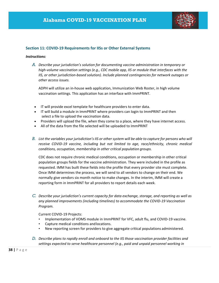

#### **Section 11: COVID‐19 Requirements for IISs or Other External Systems**

#### *Instructions:*

*A. Describe your jurisdiction's solution for documenting vaccine administration in temporary or high‐volume vaccination settings (e.g., CDC mobile app, IIS or module that interfaces with the IIS, or other jurisdiction‐based solution). Include planned contingencies for network outages or other access issues.*

ADPH will utilize an in‐house web application, Immunization Web Roster, in high volume vaccination settings. This application has an interface with ImmPRINT.

- IT will provide excel template for healthcare providers to enter data.
- IT will build a module in ImmPRINT where providers can login to ImmPRINT and then select a file to upload the vaccination data.
- Providers will upload the file, when they come to a place, where they have internet access.
- All of the data from the file selected will be uploaded to ImmPRINT
- B. List the variables your jurisdiction's IIS or other system will be able to capture for persons who will *receive COVID‐19 vaccine, including but not limited to age, race/ethnicity, chronic medical conditions, occupation, membership in other critical population groups.*

CDC does not require chronic medical conditions, occupation or membership in other critical population groups fields for the vaccine administration. They were included in the profile as requested. IMM has built these fields into the profile that every provider site must complete. Once IMM determines the process, we will send to all vendors to change on their end. We normally give vendors six month notice to make changes. In the interim, IMM will create a reporting form in ImmPRINT for all providers to report details each week.

*C. Describe your jurisdiction's current capacity for data exchange, storage, and reporting as well as any planned improvements (including timelines) to accommodate the COVID‐19 Vaccination Program.*

Current COVID‐19 Projects:

- Implementation of VOMS module in ImmPRINT for VFC, adult flu, and COVID-19 vaccine.
- Capture medical conditions andlocations.
- New reporting screen for providers to give aggregate critical populations administered.
- *D. Describe plans to rapidly enroll and onboard to the IIS those vaccination provider facilities and settings expected to serve healthcare personnel (e.g., paid and unpaid personnel working in*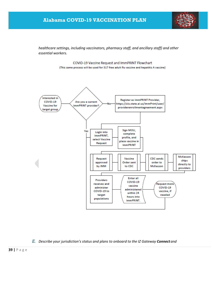## **Alabama COVID-19 VACCINATION PLAN**



*healthcare settings, including vaccinators, pharmacy staff, and ancillary staff) and other essential workers.*



#### *E. Describe your jurisdiction's status and plans to onboard to the IZ Gateway Connect and*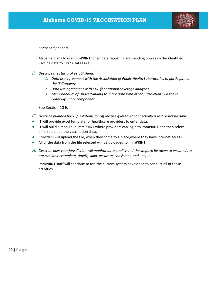

#### *Share components.*

Alabama plans to use ImmPRINT for all data reporting and sending bi‐weekly de‐ identified vaccine data to CDC's Data Lake.

- *F. Describe the status of establishing:*
	- *1. Data use agreement with the Association of Public Health Laboratories to participate in the IZ Gateway*
	- *2. Data use agreement with CDC for national coverage analyses*
	- *3. Memorandum of Understanding to share data with other jurisdictions via the IZ Gateway Share component*

See Section 10 E.

- *G. Describe planned backup solutions for offline use if internet connectivity is lost or not possible.*
- IT will provide excel template for healthcare providers to enter data.
- IT will build a module in ImmPRINT where providers can login to ImmPRINT and then select a file to upload the vaccination data.
- **•** Providers will upload the file, when they come to a place, where they have internet access.
- All of the data from the file selected will be uploaded to ImmPRINT
- H. Describe how your jurisdiction will monitor data quality and the steps to be taken to ensure data *are available, complete, timely, valid, accurate, consistent, and unique.*

ImmPRINT staff will continue to use the current system developed to conduct all of these activities.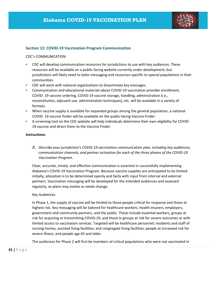

#### **Section 12: COVID‐19 Vaccination Program Communication**

#### CDC's COMMUNICATION

- CDC will develop communication resources for jurisdictions to use with key audiences. These resources will be available on a public‐facing website currently under development, but jurisdictions will likely need to tailor messaging and resources specific to special populations in their communities.
- CDC will work with national organizations to disseminate key messages.
- Communication and educational materials about COVID‐19 vaccination provider enrollment, COVID‐ 19 vaccine ordering, COVID‐19 vaccine storage, handling, administration (i.e., reconstitution, adjuvant use, administration techniques), etc. will be available in a variety of formats.
- When vaccine supply is available for expanded groups among the general population, a national COVID‐ 19 vaccine finder will be available on the public‐facing Vaccine Finder.
- A screening tool on the CDC website will help individuals determine their own eligibility for COVID‐ 19 vaccine and direct them to the Vaccine Finder.

#### *Instructions:*

*A. Describe your jurisdiction's COVID‐19 vaccination communication plan, including key audiences, communication channels, and partner activation for each of the three phases of the COVID‐19 Vaccination Program.*

Clear, accurate, timely, and effective communication is essential in successfully implementing Alabama's COVID‐19 Vaccination Program. Because vaccine supplies are anticipated to be limited initially, allocation is to be determined openly and fairly with input from internal and external partners. Vaccination messaging will be developed for the intended audiences and assessed regularly, so plans may evolve as needs change.

#### Key Audiences

In Phase 1, the supply of vaccine will be limited to those people critical for response and those at highest risk. Key messaging will be tailored for healthcare workers, health insurers, employers, government and community partners, and the public. These include essential workers, groups at risk for acquiring or transmitting COVID‐19, and those in groups at risk for severe outcomes or with limited access to vaccination services. Targeted will be healthcare personnel; residents and staff of nursing homes, assisted living facilities, and congregate living facilities; people at increased risk for severe illness; and people age 65 and older.

The audiences for Phase 2 will first be members of critical populations who were not vaccinated in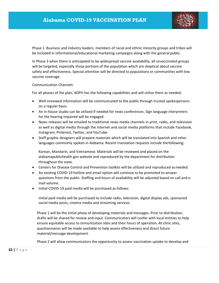

Phase 1. Business and industry leaders, members of racial and ethnic minority groups and tribes will be included in informational/educational marketing campaigns along with the general public.

In Phase 3 when there is anticipated to be widespread vaccine availability, all unvaccinated groups will be targeted, especially those portions of the population which are skeptical about vaccine safety and effectiveness. Special attention will be directed to populations or communities with low vaccine coverage.

Communication Channels

For all phases of the plan, ADPH has the following capabilities and will utilize them as needed:

- Well-reviewed information will be communicated to the public through trusted spokespersons on a regular basis.
- An in-house studio can be utilized if needed for news conferences. Sign language interpreters for the hearing impaired will be engaged.
- News releases will be emailed to traditional news media channels in print, radio, and television as well as digital media through the Internet and social media platforms that include Facebook, Instagram, Pinterest, Twitter, and YouTube.
- Staff graphic designers will prepare materials which will be translated into Spanish and other languages commonly spoken in Alabama. Recent translation requests include thefollowing:

Korean, Mandarin, and Vietnamese. Materials will be reviewed and placed on the alabamapublichealth.gov website and reproduced by the department for distribution throughout the state.

- Centers for Disease Control and Prevention toolkits will be utilized and reproduced asneeded.
- An existing COVID-19 hotline and email option will continue to be promoted to answer questions from the public. Staffing and hours of availability will be adjusted based on call and e‐ mail volume.
- Initial COVID-19 paid media will be purchased as follows:

Initial paid media will be purchased to include radio, television, digital display ads, sponsored social media posts, cinema media and streaming services.

Phase 1 will be the initial phase of developing materials and messages. Prior to distribution, drafts will be shared for review and input. Communicators will confer with local entities to help ensure equitable access to immunization sites and their hours of operation. At clinic sites, questionnaires will be made available to help assess effectiveness and direct future material/message development.

Phase 2 will allow communicators the opportunity to assess vaccination uptake to develop and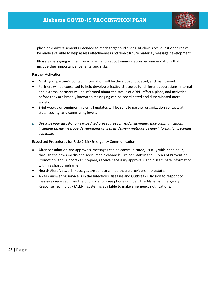

place paid advertisements intended to reach target audiences. At clinic sites, questionnaires will be made available to help assess effectiveness and direct future material/message development

Phase 3 messaging will reinforce information about immunization recommendations that include their importance, benefits, and risks.

#### Partner Activation

- A listing of partner's contact information will be developed, updated, and maintained.
- Partners will be consulted to help develop effective strategies for different populations. Internal and external partners will be informed about the status of ADPH efforts, plans, and activities before they are broadly known so messaging can be coordinated and disseminated more widely.
- Brief weekly or semimonthly email updates will be sent to partner organization contacts at state, county, and community levels.
- *B. Describe your jurisdiction's expedited procedures for risk/crisis/emergency communication, including timely message development as well as delivery methods as new information becomes available.*

Expedited Procedures for Risk/Crisis/Emergency Communication

- After consultation and approvals, messages can be communicated, usually within the hour, through the news media and social media channels. Trained staff in the Bureau of Prevention, Promotion, and Support can prepare, receive necessary approvals, and disseminate information within a short timeframe.
- Health Alert Network messages are sent to all healthcare providers in the state.
- A 24/7 answering service is in the Infectious Diseases and Outbreaks Division to respondto messages received from the public via toll-free phone number. The Alabama Emergency Response Technology (ALERT) system is available to make emergency notifications.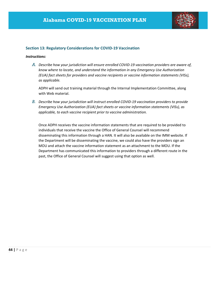

#### **Section 13: Regulatory Considerations for COVID‐19 Vaccination**

#### *Instructions:*

*A. Describe how your jurisdiction will ensure enrolled COVID‐19 vaccination providers are aware of, know where to locate, and understand the information in any Emergency Use Authorization (EUA) fact sheets for providers and vaccine recipients or vaccine information statements (VISs), as applicable.*

ADPH will send out training material through the Internal Implementation Committee, along with Web material.

*B. Describe how your jurisdiction will instruct enrolled COVID‐19 vaccination providers to provide Emergency Use Authorization (EUA) fact sheets or vaccine information statements (VISs), as applicable, to each vaccine recipient prior to vaccine administration.*

Once ADPH receives the vaccine information statements that are required to be provided to individuals that receive the vaccine the Office of General Counsel will recommend disseminating this information through a HAN. It will also be available on the IMM website. If the Department will be disseminating the vaccine, we could also have the providers sign an MOU and attach the vaccine information statement as an attachment to the MOU. If the Department has communicated this information to providers through a different route in the past, the Office of General Counsel will suggest using that option as well.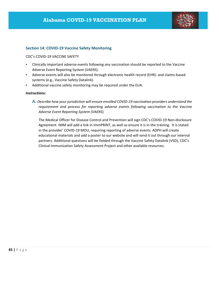

#### **Section 14: COVID‐19 Vaccine Safety Monitoring**

CDC's COVID‐19 VACCINE SAFETY

- Clinically important adverse events following any vaccination should be reported to the Vaccine Adverse Event Reporting System (VAERS).
- Adverse events will also be monitored through electronic health record (EHR)- and claims-based systems (e.g., Vaccine Safety Datalink).
- Additional vaccine safety monitoring may be required under the EUA.

#### *Instructions:*

A. *Describe how your jurisdiction will ensure enrolled COVID‐19 vaccination providers understand the requirement and process for reporting adverse events following vaccination to the Vaccine Adverse Event Reporting System (VAERS).*

The Medical Officer for Disease Control and Prevention will sign CDC's COVID‐19 Non‐disclosure Agreement. IMM will add a link in ImmPRINT, as well as ensure it is in the training. It is stated in the provider' COVID‐19 MOU, requiring reporting of adverse events. ADPH will create educational materials and add a poster to our website and will send it out through our internal partners. Additional questions will be fielded through the Vaccine Safety Datalink (VSD), CDC's Clinical Immunization Safety Assessment Project and other available resources.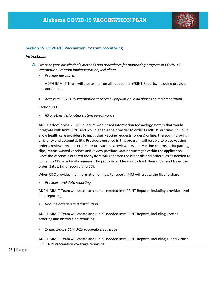

#### **Section 15: COVID‐19 Vaccination Program Monitoring**

#### *Instructions:*

- *A. Describe your jurisdiction's methods and procedures for monitoring progress in COVID‐19 Vaccination Program implementation, including:*
	- *Provider enrollment*

ADPH IMM IT Team will create and run all needed ImmPRINT Reports, including provider enrollment.

*Access to COVID‐19 vaccination services by population in all phases of implementation*

Section 11 B.

*IIS or other designated system performance*

ADPH is developing VOMS, a secure web‐based information technology system that would integrate with ImmPRINT and would enable the provider to order COVID 19 vaccines. It would allow health care providers to input their vaccine requests (orders) online, thereby improving efficiency and accountability. Providers enrolled in this program will be able to place vaccine orders, review previous orders, return vaccines, review previous vaccine returns, print packing slips, report wasted vaccines and review previous vaccine wastages within the application. Once the vaccine is ordered the system will generate the order file and other files as needed to upload to CDC in a timely manner. The provider will be able to track their order and know the order status. *Data reporting to CDC*

When CDC provides the information on how to report, IMM will create the files to share.

*Provider‐level data reporting*

ADPH IMM IT Team will create and run all needed ImmPRINT Reports, including provider‐level data reporting.

*Vaccine ordering and distribution*

ADPH IMM IT Team will create and run all needed ImmPRINT Reports, including vaccine ordering and distribution reporting.

*1‐ and 2‐dose COVID‐19 vaccination coverage*

ADPH IMM IT Team will create and run all needed ImmPRINT Reports, including 1‐ and 2‐dose COVID‐19 vaccination coverage reporting.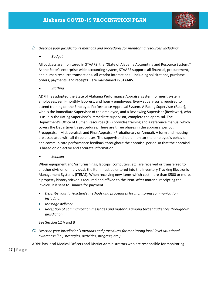

#### *B. Describe your jurisdiction's methods and procedures for monitoring resources, including:*

#### . *Budget*

All budgets are monitored in STAARS, the "State of Alabama Accounting and Resource System." As the State's enterprise-wide accounting system, STAARS supports all financial, procurement, and human resource transactions. All vendor interactions—including solicitations, purchase orders, payments, and receipts—are maintained in STAARS.

#### . *Staffing*

ADPH has adopted the State of Alabama Performance Appraisal system for merit system employees, semi‐monthly laborers, and hourly employees. Every supervisor is required to attend training on the Employee Performance Appraisal System. A Rating Supervisor (Rater), who is the immediate Supervisor of the employee, and a Reviewing Supervisor (Reviewer), who is usually the Rating Supervisor's immediate supervisor, complete the appraisal. The Department's Office of Human Resources (HR) provides training and a reference manual which covers the Department's procedures. There are three phases in the appraisal period: Preappraisal; Midappraisal; and Final Appraisal (Probationary or Annual). A form and meeting are associated with all three phases. The supervisor should monitor the employee's behavior and communicate performance feedback throughout the appraisal period so that the appraisal is based on objective and accurate information.

. *Supplies*

When equipment and/or furnishings, laptops, computers, etc. are received or transferred to another division or individual, the item must be entered into the Inventory Tracking Electronic Management Systems (ITEMS). When receiving new items which cost more than \$500 or more, a property history sticker is required and affixed to the item. After material receipting the invoice, it is sent to Finance for payment.

- *Describe your jurisdiction's methods and procedures for monitoring communication, including:*
- *Message delivery*
- *Reception of communication messages and materials among target audiences throughout jurisdiction*

See Section 12 A and B

*C. Describe your jurisdiction's methods and procedures for monitoring local‐level situational awareness (i.e., strategies, activities, progress, etc.).*

ADPH has local Medical Officers and District Administrators who are responsible for monitoring